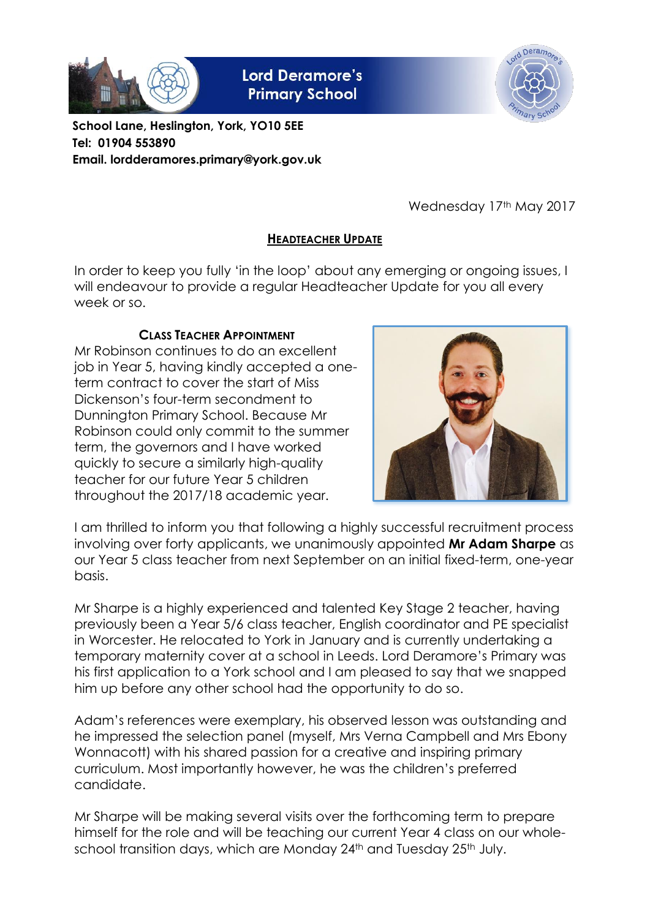

**Lord Deramore's Primary School** 



**School Lane, Heslington, York, YO10 5EE Tel: 01904 553890 Email. lordderamores.primary@york.gov.uk**

Wednesday 17th May 2017

# **HEADTEACHER UPDATE**

In order to keep you fully 'in the loop' about any emerging or ongoing issues, I will endeavour to provide a regular Headteacher Update for you all every week or so.

# **CLASS TEACHER APPOINTMENT**

Mr Robinson continues to do an excellent job in Year 5, having kindly accepted a oneterm contract to cover the start of Miss Dickenson's four-term secondment to Dunnington Primary School. Because Mr Robinson could only commit to the summer term, the governors and I have worked quickly to secure a similarly high-quality teacher for our future Year 5 children throughout the 2017/18 academic year.



I am thrilled to inform you that following a highly successful recruitment process involving over forty applicants, we unanimously appointed **Mr Adam Sharpe** as our Year 5 class teacher from next September on an initial fixed-term, one-year basis.

Mr Sharpe is a highly experienced and talented Key Stage 2 teacher, having previously been a Year 5/6 class teacher, English coordinator and PE specialist in Worcester. He relocated to York in January and is currently undertaking a temporary maternity cover at a school in Leeds. Lord Deramore's Primary was his first application to a York school and I am pleased to say that we snapped him up before any other school had the opportunity to do so.

Adam's references were exemplary, his observed lesson was outstanding and he impressed the selection panel (myself, Mrs Verna Campbell and Mrs Ebony Wonnacott) with his shared passion for a creative and inspiring primary curriculum. Most importantly however, he was the children's preferred candidate.

Mr Sharpe will be making several visits over the forthcoming term to prepare himself for the role and will be teaching our current Year 4 class on our wholeschool transition days, which are Monday 24<sup>th</sup> and Tuesday 25<sup>th</sup> July.